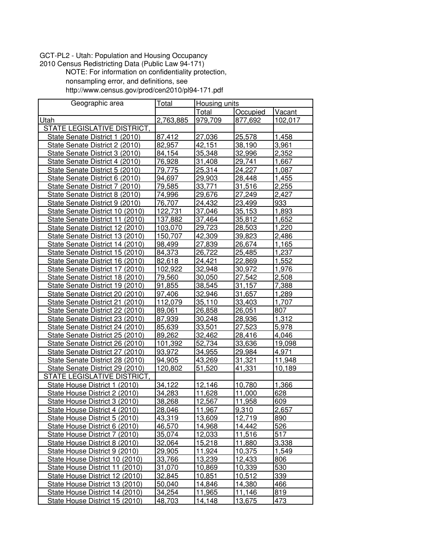## GCT−PL2 − Utah: Population and Housing Occupancy

2010 Census Redistricting Data (Public Law 94−171) NOTE: For information on confidentiality protection, nonsampling error, and definitions, see http://www.census.gov/prod/cen2010/pl94−171.pdf

| Geographic area                    | Total     |         | Housing units |         |  |
|------------------------------------|-----------|---------|---------------|---------|--|
|                                    |           | Total   | Occupied      | Vacant  |  |
| Utah                               | 2,763,885 | 979,709 | 877,692       | 102,017 |  |
| STATE LEGISLATIVE DISTRICT,        |           |         |               |         |  |
| State Senate District 1 (2010)     | 87,412    | 27,036  | 25,578        | 1,458   |  |
| State Senate District 2 (2010)     | 82,957    | 42,151  | 38,190        | 3,961   |  |
| State Senate District 3 (2010)     | 84,154    | 35,348  | 32,996        | 2,352   |  |
| State Senate District 4 (2010)     | 76,928    | 31,408  | 29,741        | 1,667   |  |
| State Senate District 5 (2010)     | 79,775    | 25,314  | 24,227        | 1,087   |  |
| State Senate District 6 (2010)     | 94,697    | 29,903  | 28,448        | 1,455   |  |
| State Senate District 7 (2010)     | 79,585    | 33,771  | 31,516        | 2,255   |  |
| State Senate District 8 (2010)     | 74,996    | 29,676  | 27,249        | 2,427   |  |
| State Senate District 9 (2010)     | 76,707    | 24,432  | 23,499        | 933     |  |
| State Senate District 10 (2010)    | 122,731   | 37,046  | 35,153        | 1,893   |  |
| State Senate District 11 (2010)    | 137,882   | 37,464  | 35,812        | 1,652   |  |
| State Senate District 12 (2010)    | 103,070   | 29,723  | 28,503        | 1,220   |  |
| State Senate District 13 (2010)    | 150,707   | 42,309  | 39,823        | 2,486   |  |
| State Senate District 14 (2010)    | 98,499    | 27,839  | 26,674        | 1,165   |  |
| State Senate District 15 (2010)    | 84,373    | 26,722  | 25,485        | 1,237   |  |
| State Senate District 16 (2010)    | 82,618    | 24,421  | 22,869        | 1,552   |  |
| State Senate District 17 (2010)    | 102,922   | 32,948  | 30,972        | 1,976   |  |
| State Senate District 18 (2010)    | 79,560    | 30,050  | 27,542        | 2,508   |  |
| State Senate District 19 (2010)    | 91,855    | 38,545  | 31,157        | 7,388   |  |
| State Senate District 20 (2010)    | 97,406    | 32,946  | 31,657        | 1,289   |  |
| State Senate District 21 (2010)    | 112,079   | 35,110  | 33,403        | 1,707   |  |
| State Senate District 22 (2010)    | 89,061    | 26,858  | 26,051        | 807     |  |
| State Senate District 23 (2010)    | 87,939    | 30,248  | 28,936        | 1,312   |  |
| State Senate District 24 (2010)    | 85,639    | 33,501  | 27,523        | 5,978   |  |
| State Senate District 25 (2010)    | 89,262    | 32,462  | 28,416        | 4,046   |  |
| State Senate District 26 (2010)    | 101,392   | 52,734  | 33,636        | 19,098  |  |
| State Senate District 27 (2010)    | 93,972    | 34,955  | 29,984        | 4,971   |  |
| State Senate District 28 (2010)    | 94,905    | 43,269  | 31,321        | 11,948  |  |
| State Senate District 29 (2010)    | 120,802   | 51,520  | 41,331        | 10,189  |  |
| <b>STATE LEGISLATIVE DISTRICT,</b> |           |         |               |         |  |
| State House District 1 (2010)      | 34,122    | 12,146  | 10,780        | 1,366   |  |
| State House District 2 (2010)      | 34,283    | 11,628  | 11,000        | 628     |  |
| State House District 3 (2010)      | 38,268    | 12,567  | 11,958        | 609     |  |
| State House District 4 (2010)      | 28,046    | 11,967  | 9,310         | 2,657   |  |
| State House District 5 (2010)      | 43,319    | 13,609  | 12,719        | 890     |  |
| State House District 6 (2010)      | 46,570    | 14,968  | 14,442        | 526     |  |
| State House District 7 (2010)      | 35,074    | 12,033  | 11,516        | 517     |  |
| State House District 8 (2010)      | 32,064    | 15,218  | 11,880        | 3,338   |  |
| State House District 9 (2010)      | 29,905    | 11,924  | 10,375        | 1,549   |  |
| State House District 10 (2010)     | 33,766    | 13,239  | 12,433        | 806     |  |
| State House District 11 (2010)     | 31,070    | 10,869  | 10,339        | 530     |  |
| State House District 12 (2010)     | 32,845    | 10,851  | 10,512        | 339     |  |
| State House District 13 (2010)     | 50,040    | 14,846  | 14,380        | 466     |  |
| State House District 14 (2010)     | 34,254    | 11,965  | 11,146        | 819     |  |
| State House District 15 (2010)     | 48,703    | 14,148  | 13,675        | 473     |  |
|                                    |           |         |               |         |  |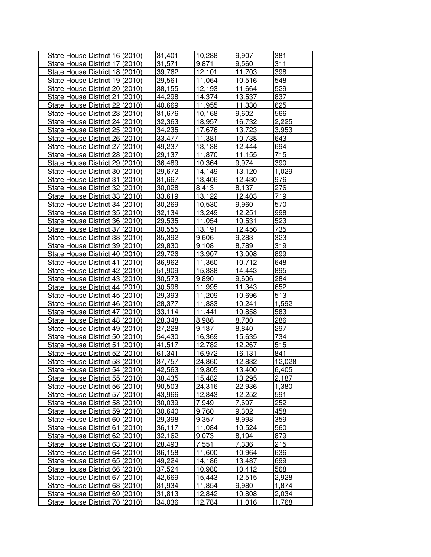| State House District 16 (2010) | 31,401        | 10,288 | 9,907         | 381    |
|--------------------------------|---------------|--------|---------------|--------|
| State House District 17 (2010) | 31,571        | 9,871  | 9,560         | 311    |
| State House District 18 (2010) | 39,762        | 12,101 | 11,703        | 398    |
| State House District 19 (2010) | 29,561        | 11,064 | 10,516        | 548    |
| State House District 20 (2010) | 38,155        | 12,193 | 11,664        | 529    |
| State House District 21 (2010) | 44,298        | 14,374 | 13,537        | 837    |
| State House District 22 (2010) | 40,669        | 11,955 | 11,330        | 625    |
| State House District 23 (2010) | 31,676        | 10,168 | 9,602         | 566    |
| State House District 24 (2010) | 32,363        | 18,957 | 16,732        | 2,225  |
| State House District 25 (2010) | 34,235        | 17,676 | 13,723        | 3,953  |
| State House District 26 (2010) | 33,477        | 11,381 | 10,738        | 643    |
| State House District 27 (2010) | 49,237        | 13,138 | 12,444        | 694    |
| State House District 28 (2010) | 29,137        | 11,870 | 11,155        | 715    |
| State House District 29 (2010) | 36,489        | 10,364 | 9,974         | 390    |
| State House District 30 (2010) | 29,672        | 14,149 | 13,120        | 1,029  |
| State House District 31 (2010) | 31,667        | 13,406 | 12,430        | 976    |
| State House District 32 (2010) | 30,028        | 8,413  | 8,137         | 276    |
| State House District 33 (2010) | 33,619        | 13,122 | 12,403        | 719    |
| State House District 34 (2010) | 30,269        | 10,530 | 9,960         | 570    |
| State House District 35 (2010) | 32,134        | 13,249 | 12,251        | 998    |
| State House District 36 (2010) | 29,535        | 11,054 | 10,531        | 523    |
| State House District 37 (2010) | 30,555        | 13,191 | 12,456        | 735    |
| State House District 38 (2010) | 35,392        | 9,606  | 9,283         | 323    |
| State House District 39 (2010) | 29,830        | 9,108  | 8,789         | 319    |
| State House District 40 (2010) | 29,726        | 13,907 | 13,008        | 899    |
| State House District 41 (2010) | 36,962        | 11,360 | 10,712        | 648    |
| State House District 42 (2010) | 51,909        | 15,338 | 14,443        | 895    |
| State House District 43 (2010) | 30,573        | 9,890  | 9,606         | 284    |
| State House District 44 (2010) | 30,598        | 11,995 | 11,343        | 652    |
| State House District 45 (2010) | 29,393        | 11,209 | 10,696        | 513    |
| State House District 46 (2010) | 28,377        | 11,833 | 10,241        | 1,592  |
| State House District 47 (2010) | 33,114        | 11,441 | 10,858        | 583    |
| State House District 48 (2010) | 28,348        | 8,986  | 8,700         | 286    |
| State House District 49 (2010) | 27,228        | 9,137  | 8,840         | 297    |
| State House District 50 (2010) | 54,430        | 16,369 | 15,635        | 734    |
| State House District 51 (2010) | 41,517        | 12,782 | 12,267        | 515    |
| State House District 52 (2010) | 61,341        | 16,972 | 16,131        | 841    |
| State House District 53 (2010) | 37,757        | 24,860 | 12,832        | 12,028 |
| State House District 54 (2010) | 42,563        | 19,805 | 13,400        | 6,405  |
| State House District 55 (2010) | 38,435        | 15,482 | 13,295        | 2,187  |
| State House District 56 (2010) | 90,503        | 24,316 | 22,936        | 1,380  |
| State House District 57 (2010) | 43,966        | 12,843 | 12,252        | 591    |
| State House District 58 (2010) | 30,039        | 7,949  | 7,697         | 252    |
| State House District 59 (2010) | 30,640        | 9,760  | 9,302         | 458    |
| State House District 60 (2010) | 29,398        | 9,357  | 8,998         | 359    |
| State House District 61 (2010) | 36,117        | 11,084 | 10,524        | 560    |
| State House District 62 (2010) | 32,162        | 9,073  | 8,194         | 879    |
| State House District 63 (2010) | 28,493        | 7,551  | 7,336         | 215    |
| State House District 64 (2010) | <u>36,158</u> | 11,600 | 10,964        | 636    |
| State House District 65 (2010) | 49,224        | 14,186 | 13,487        | 699    |
| State House District 66 (2010) | 37,524        | 10,980 | 10,412        | 568    |
| State House District 67 (2010) | 42,669        | 15,443 | <u>12,515</u> | 2,928  |
| State House District 68 (2010) | 31,934        | 11,854 | 9,980         | 1,874  |
| State House District 69 (2010) | 31,813        | 12,842 | 10,808        | 2,034  |
| State House District 70 (2010) | 34,036        | 12,784 | 11,016        | 1,768  |